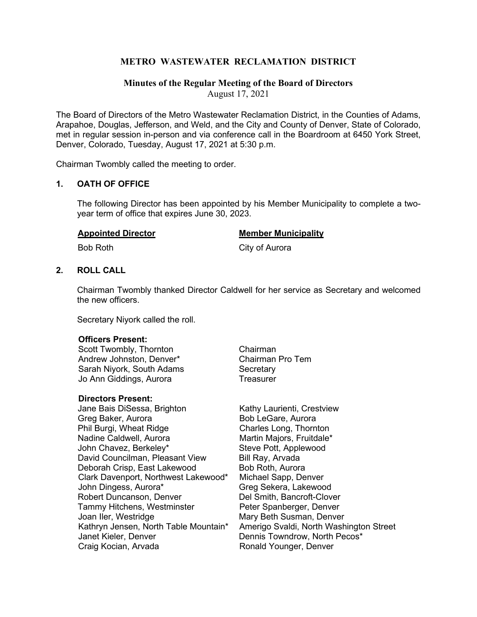### **METRO WASTEWATER RECLAMATION DISTRICT**

### **Minutes of the Regular Meeting of the Board of Directors**

August 17, 2021

The Board of Directors of the Metro Wastewater Reclamation District, in the Counties of Adams, Arapahoe, Douglas, Jefferson, and Weld, and the City and County of Denver, State of Colorado, met in regular session in-person and via conference call in the Boardroom at 6450 York Street, Denver, Colorado, Tuesday, August 17, 2021 at 5:30 p.m.

Chairman Twombly called the meeting to order.

#### **1. OATH OF OFFICE**

The following Director has been appointed by his Member Municipality to complete a twoyear term of office that expires June 30, 2023.

#### **Appointed Director Member Municipality**

Bob Roth City of Aurora

#### **2. ROLL CALL**

Chairman Twombly thanked Director Caldwell for her service as Secretary and welcomed the new officers.

Secretary Niyork called the roll.

#### **Officers Present:**

Scott Twombly, Thornton Chairman Andrew Johnston, Denver\* Sarah Niyork, South Adams Secretary Jo Ann Giddings, Aurora **Treasurer** 

#### **Directors Present:**

- Jane Bais DiSessa, Brighton Kathy Laurienti, Crestview Greg Baker, Aurora **Bob LeGare**, Aurora Phil Burgi, Wheat Ridge Charles Long, Thornton Nadine Caldwell, Aurora Martin Majors, Fruitdale\*<br>John Chavez, Berkeley\* Steve Pott, Applewood John Chavez, Berkeley\* David Councilman, Pleasant View Bill Ray, Arvada Deborah Crisp, East Lakewood Bob Roth, Aurora Clark Davenport, Northwest Lakewood\* Michael Sapp, Denver John Dingess, Aurora\* Greg Sekera, Lakewood Robert Duncanson, Denver Tammy Hitchens, Westminster **Peter Spanberger, Denver** Joan Iler, Westridge Mary Beth Susman, Denver<br>Kathryn Jensen, North Table Mountain\* Amerigo Svaldi, North Wash Craig Kocian, Arvada **Ronald Younger**, Denver
- 

Kathryn Jensen, North Table Mountain\* Amerigo Svaldi, North Washington Street<br>Janet Kieler, Denver **Dennis Towndrow, North Pecos**\* Dennis Towndrow, North Pecos\*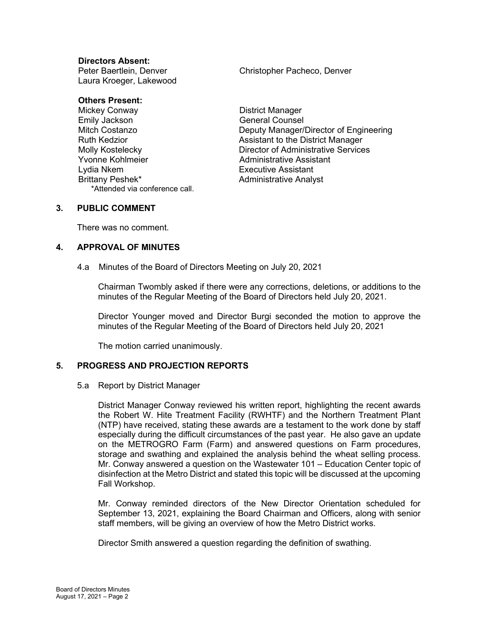#### **Directors Absent:**

Laura Kroeger, Lakewood

Peter Baertlein, Denver Christopher Pacheco, Denver

# **Others Present:**<br>Mickey Conway

Emily Jackson General Counsel Lydia Nkem Executive Assistant \*Attended via conference call.

District Manager Mitch Costanzo Deputy Manager/Director of Engineering Ruth Kedzior **Assistant to the District Manager** Assistant to the District Manager Molly Kostelecky **Director of Administrative Services**<br>
Yvonne Kohlmeier **Director of Administrative Assistant** Administrative Assistant **Administrative Analyst** 

#### **3. PUBLIC COMMENT**

There was no comment.

#### **4. APPROVAL OF MINUTES**

4.a Minutes of the Board of Directors Meeting on July 20, 2021

Chairman Twombly asked if there were any corrections, deletions, or additions to the minutes of the Regular Meeting of the Board of Directors held July 20, 2021.

Director Younger moved and Director Burgi seconded the motion to approve the minutes of the Regular Meeting of the Board of Directors held July 20, 2021

The motion carried unanimously.

#### **5. PROGRESS AND PROJECTION REPORTS**

#### 5.a Report by District Manager

District Manager Conway reviewed his written report, highlighting the recent awards the Robert W. Hite Treatment Facility (RWHTF) and the Northern Treatment Plant (NTP) have received, stating these awards are a testament to the work done by staff especially during the difficult circumstances of the past year. He also gave an update on the METROGRO Farm (Farm) and answered questions on Farm procedures, storage and swathing and explained the analysis behind the wheat selling process. Mr. Conway answered a question on the Wastewater 101 – Education Center topic of disinfection at the Metro District and stated this topic will be discussed at the upcoming Fall Workshop.

Mr. Conway reminded directors of the New Director Orientation scheduled for September 13, 2021, explaining the Board Chairman and Officers, along with senior staff members, will be giving an overview of how the Metro District works.

Director Smith answered a question regarding the definition of swathing.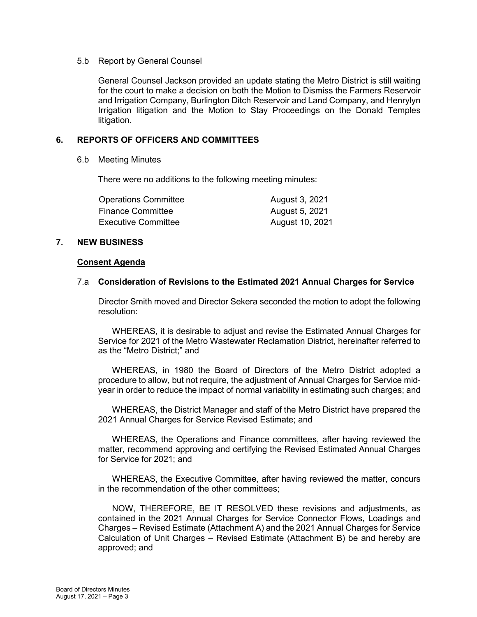#### 5.b Report by General Counsel

General Counsel Jackson provided an update stating the Metro District is still waiting for the court to make a decision on both the Motion to Dismiss the Farmers Reservoir and Irrigation Company, Burlington Ditch Reservoir and Land Company, and Henrylyn Irrigation litigation and the Motion to Stay Proceedings on the Donald Temples litigation.

#### **6. REPORTS OF OFFICERS AND COMMITTEES**

#### 6.b Meeting Minutes

There were no additions to the following meeting minutes:

| <b>Operations Committee</b> | August 3, 2021  |
|-----------------------------|-----------------|
| <b>Finance Committee</b>    | August 5, 2021  |
| <b>Executive Committee</b>  | August 10, 2021 |

#### **7. NEW BUSINESS**

#### **Consent Agenda**

#### 7.a **Consideration of Revisions to the Estimated 2021 Annual Charges for Service**

Director Smith moved and Director Sekera seconded the motion to adopt the following resolution:

WHEREAS, it is desirable to adjust and revise the Estimated Annual Charges for Service for 2021 of the Metro Wastewater Reclamation District, hereinafter referred to as the "Metro District;" and

WHEREAS, in 1980 the Board of Directors of the Metro District adopted a procedure to allow, but not require, the adjustment of Annual Charges for Service midyear in order to reduce the impact of normal variability in estimating such charges; and

WHEREAS, the District Manager and staff of the Metro District have prepared the 2021 Annual Charges for Service Revised Estimate; and

WHEREAS, the Operations and Finance committees, after having reviewed the matter, recommend approving and certifying the Revised Estimated Annual Charges for Service for 2021; and

WHEREAS, the Executive Committee, after having reviewed the matter, concurs in the recommendation of the other committees;

NOW, THEREFORE, BE IT RESOLVED these revisions and adjustments, as contained in the 2021 Annual Charges for Service Connector Flows, Loadings and Charges – Revised Estimate (Attachment A) and the 2021 Annual Charges for Service Calculation of Unit Charges – Revised Estimate (Attachment B) be and hereby are approved; and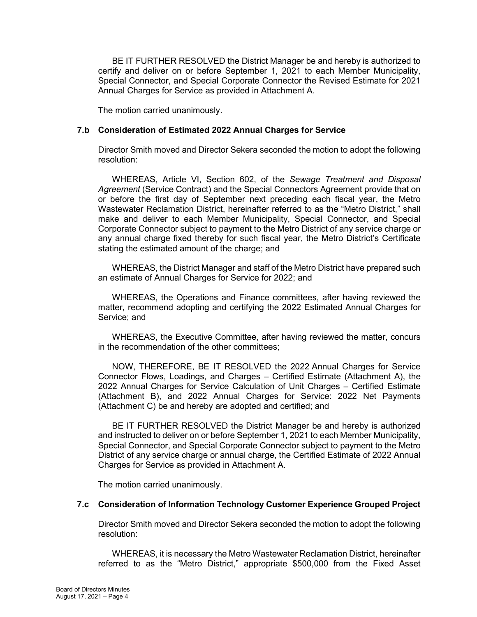BE IT FURTHER RESOLVED the District Manager be and hereby is authorized to certify and deliver on or before September 1, 2021 to each Member Municipality, Special Connector, and Special Corporate Connector the Revised Estimate for 2021 Annual Charges for Service as provided in Attachment A.

The motion carried unanimously.

#### **7.b Consideration of Estimated 2022 Annual Charges for Service**

Director Smith moved and Director Sekera seconded the motion to adopt the following resolution:

WHEREAS, Article VI, Section 602, of the *Sewage Treatment and Disposal Agreement* (Service Contract) and the Special Connectors Agreement provide that on or before the first day of September next preceding each fiscal year, the Metro Wastewater Reclamation District, hereinafter referred to as the "Metro District," shall make and deliver to each Member Municipality, Special Connector, and Special Corporate Connector subject to payment to the Metro District of any service charge or any annual charge fixed thereby for such fiscal year, the Metro District's Certificate stating the estimated amount of the charge; and

WHEREAS, the District Manager and staff of the Metro District have prepared such an estimate of Annual Charges for Service for 2022; and

WHEREAS, the Operations and Finance committees, after having reviewed the matter, recommend adopting and certifying the 2022 Estimated Annual Charges for Service; and

WHEREAS, the Executive Committee, after having reviewed the matter, concurs in the recommendation of the other committees;

NOW, THEREFORE, BE IT RESOLVED the 2022 Annual Charges for Service Connector Flows, Loadings, and Charges – Certified Estimate (Attachment A), the 2022 Annual Charges for Service Calculation of Unit Charges – Certified Estimate (Attachment B), and 2022 Annual Charges for Service: 2022 Net Payments (Attachment C) be and hereby are adopted and certified; and

BE IT FURTHER RESOLVED the District Manager be and hereby is authorized and instructed to deliver on or before September 1, 2021 to each Member Municipality, Special Connector, and Special Corporate Connector subject to payment to the Metro District of any service charge or annual charge, the Certified Estimate of 2022 Annual Charges for Service as provided in Attachment A.

The motion carried unanimously.

#### **7.c Consideration of Information Technology Customer Experience Grouped Project**

Director Smith moved and Director Sekera seconded the motion to adopt the following resolution:

WHEREAS, it is necessary the Metro Wastewater Reclamation District, hereinafter referred to as the "Metro District," appropriate \$500,000 from the Fixed Asset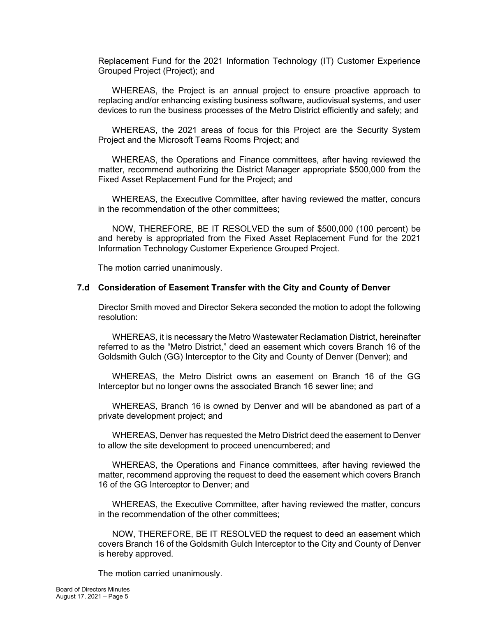Replacement Fund for the 2021 Information Technology (IT) Customer Experience Grouped Project (Project); and

WHEREAS, the Project is an annual project to ensure proactive approach to replacing and/or enhancing existing business software, audiovisual systems, and user devices to run the business processes of the Metro District efficiently and safely; and

WHEREAS, the 2021 areas of focus for this Project are the Security System Project and the Microsoft Teams Rooms Project; and

WHEREAS, the Operations and Finance committees, after having reviewed the matter, recommend authorizing the District Manager appropriate \$500,000 from the Fixed Asset Replacement Fund for the Project; and

WHEREAS, the Executive Committee, after having reviewed the matter, concurs in the recommendation of the other committees;

NOW, THEREFORE, BE IT RESOLVED the sum of \$500,000 (100 percent) be and hereby is appropriated from the Fixed Asset Replacement Fund for the 2021 Information Technology Customer Experience Grouped Project.

The motion carried unanimously.

#### **7.d Consideration of Easement Transfer with the City and County of Denver**

Director Smith moved and Director Sekera seconded the motion to adopt the following resolution:

WHEREAS, it is necessary the Metro Wastewater Reclamation District, hereinafter referred to as the "Metro District," deed an easement which covers Branch 16 of the Goldsmith Gulch (GG) Interceptor to the City and County of Denver (Denver); and

WHEREAS, the Metro District owns an easement on Branch 16 of the GG Interceptor but no longer owns the associated Branch 16 sewer line; and

WHEREAS, Branch 16 is owned by Denver and will be abandoned as part of a private development project; and

WHEREAS, Denver has requested the Metro District deed the easement to Denver to allow the site development to proceed unencumbered; and

WHEREAS, the Operations and Finance committees, after having reviewed the matter, recommend approving the request to deed the easement which covers Branch 16 of the GG Interceptor to Denver; and

WHEREAS, the Executive Committee, after having reviewed the matter, concurs in the recommendation of the other committees;

NOW, THEREFORE, BE IT RESOLVED the request to deed an easement which covers Branch 16 of the Goldsmith Gulch Interceptor to the City and County of Denver is hereby approved.

The motion carried unanimously.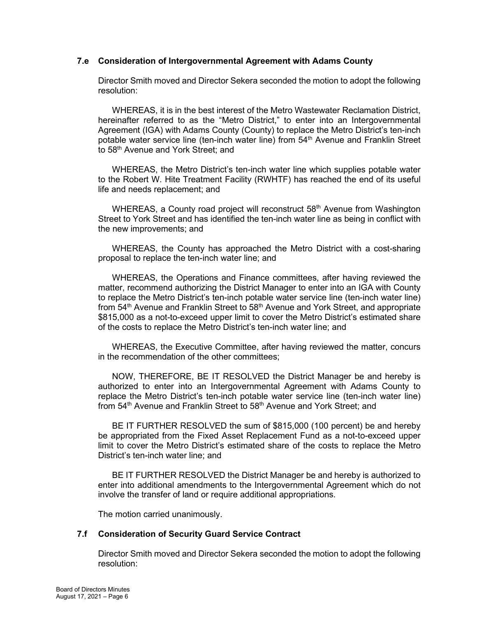#### **7.e Consideration of Intergovernmental Agreement with Adams County**

Director Smith moved and Director Sekera seconded the motion to adopt the following resolution:

WHEREAS, it is in the best interest of the Metro Wastewater Reclamation District, hereinafter referred to as the "Metro District," to enter into an Intergovernmental Agreement (IGA) with Adams County (County) to replace the Metro District's ten-inch potable water service line (ten-inch water line) from 54<sup>th</sup> Avenue and Franklin Street to 58<sup>th</sup> Avenue and York Street; and

WHEREAS, the Metro District's ten-inch water line which supplies potable water to the Robert W. Hite Treatment Facility (RWHTF) has reached the end of its useful life and needs replacement; and

WHEREAS, a County road project will reconstruct 58<sup>th</sup> Avenue from Washington Street to York Street and has identified the ten-inch water line as being in conflict with the new improvements; and

WHEREAS, the County has approached the Metro District with a cost-sharing proposal to replace the ten-inch water line; and

WHEREAS, the Operations and Finance committees, after having reviewed the matter, recommend authorizing the District Manager to enter into an IGA with County to replace the Metro District's ten-inch potable water service line (ten-inch water line) from 54<sup>th</sup> Avenue and Franklin Street to 58<sup>th</sup> Avenue and York Street, and appropriate \$815,000 as a not-to-exceed upper limit to cover the Metro District's estimated share of the costs to replace the Metro District's ten-inch water line; and

WHEREAS, the Executive Committee, after having reviewed the matter, concurs in the recommendation of the other committees;

NOW, THEREFORE, BE IT RESOLVED the District Manager be and hereby is authorized to enter into an Intergovernmental Agreement with Adams County to replace the Metro District's ten-inch potable water service line (ten-inch water line) from 54<sup>th</sup> Avenue and Franklin Street to 58<sup>th</sup> Avenue and York Street; and

BE IT FURTHER RESOLVED the sum of \$815,000 (100 percent) be and hereby be appropriated from the Fixed Asset Replacement Fund as a not-to-exceed upper limit to cover the Metro District's estimated share of the costs to replace the Metro District's ten-inch water line; and

BE IT FURTHER RESOLVED the District Manager be and hereby is authorized to enter into additional amendments to the Intergovernmental Agreement which do not involve the transfer of land or require additional appropriations.

The motion carried unanimously.

#### **7.f Consideration of Security Guard Service Contract**

Director Smith moved and Director Sekera seconded the motion to adopt the following resolution: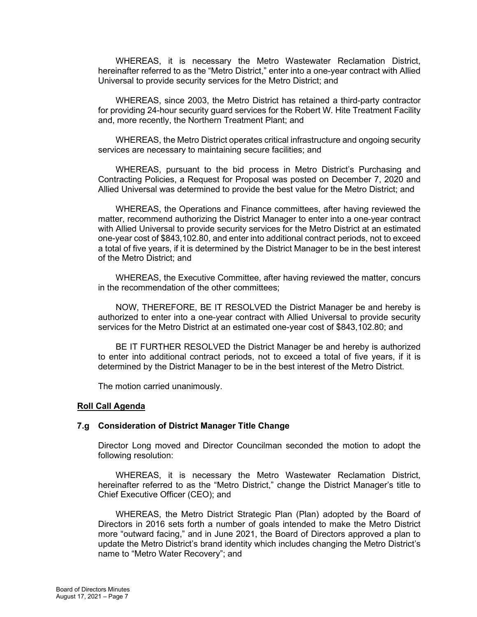WHEREAS, it is necessary the Metro Wastewater Reclamation District, hereinafter referred to as the "Metro District," enter into a one-year contract with Allied Universal to provide security services for the Metro District; and

WHEREAS, since 2003, the Metro District has retained a third-party contractor for providing 24-hour security guard services for the Robert W. Hite Treatment Facility and, more recently, the Northern Treatment Plant; and

WHEREAS, the Metro District operates critical infrastructure and ongoing security services are necessary to maintaining secure facilities; and

WHEREAS, pursuant to the bid process in Metro District's Purchasing and Contracting Policies, a Request for Proposal was posted on December 7, 2020 and Allied Universal was determined to provide the best value for the Metro District; and

WHEREAS, the Operations and Finance committees, after having reviewed the matter, recommend authorizing the District Manager to enter into a one-year contract with Allied Universal to provide security services for the Metro District at an estimated one-year cost of \$843,102.80, and enter into additional contract periods, not to exceed a total of five years, if it is determined by the District Manager to be in the best interest of the Metro District; and

WHEREAS, the Executive Committee, after having reviewed the matter, concurs in the recommendation of the other committees;

NOW, THEREFORE, BE IT RESOLVED the District Manager be and hereby is authorized to enter into a one-year contract with Allied Universal to provide security services for the Metro District at an estimated one-year cost of \$843,102.80; and

BE IT FURTHER RESOLVED the District Manager be and hereby is authorized to enter into additional contract periods, not to exceed a total of five years, if it is determined by the District Manager to be in the best interest of the Metro District.

The motion carried unanimously.

#### **Roll Call Agenda**

#### **7.g Consideration of District Manager Title Change**

Director Long moved and Director Councilman seconded the motion to adopt the following resolution:

WHEREAS, it is necessary the Metro Wastewater Reclamation District, hereinafter referred to as the "Metro District," change the District Manager's title to Chief Executive Officer (CEO); and

WHEREAS, the Metro District Strategic Plan (Plan) adopted by the Board of Directors in 2016 sets forth a number of goals intended to make the Metro District more "outward facing," and in June 2021, the Board of Directors approved a plan to update the Metro District's brand identity which includes changing the Metro District's name to "Metro Water Recovery"; and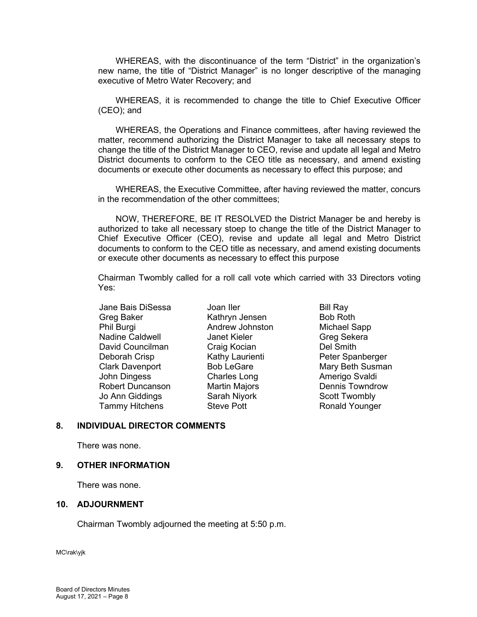WHEREAS, with the discontinuance of the term "District" in the organization's new name, the title of "District Manager" is no longer descriptive of the managing executive of Metro Water Recovery; and

WHEREAS, it is recommended to change the title to Chief Executive Officer (CEO); and

WHEREAS, the Operations and Finance committees, after having reviewed the matter, recommend authorizing the District Manager to take all necessary steps to change the title of the District Manager to CEO, revise and update all legal and Metro District documents to conform to the CEO title as necessary, and amend existing documents or execute other documents as necessary to effect this purpose; and

WHEREAS, the Executive Committee, after having reviewed the matter, concurs in the recommendation of the other committees;

NOW, THEREFORE, BE IT RESOLVED the District Manager be and hereby is authorized to take all necessary stoep to change the title of the District Manager to Chief Executive Officer (CEO), revise and update all legal and Metro District documents to conform to the CEO title as necessary, and amend existing documents or execute other documents as necessary to effect this purpose

Chairman Twombly called for a roll call vote which carried with 33 Directors voting Yes:

Jane Bais DiSessa Joan Iler Bill Ray Greg Baker Kathryn Jensen Bob Roth Phil Burgi **Andrew Johnston** Michael Sapp Nadine Caldwell **Janet Kieler** Greg Sekera David Councilman Craig Kocian Del Smith Deborah Crisp **Kathy Laurienti** Peter Spanberger Clark Davenport **Bob LeGare** Mary Beth Susman John Dingess Charles Long Amerigo Svaldi Robert Duncanson Martin Majors Jo Ann Giddings Sarah Niyork Scott Twombly<br>Tammy Hitchens Steve Pott Ster Ronald Younge Tammy Hitchens Steve Pott Ronald Younger

#### **8. INDIVIDUAL DIRECTOR COMMENTS**

There was none.

#### **9. OTHER INFORMATION**

There was none.

#### **10. ADJOURNMENT**

Chairman Twombly adjourned the meeting at 5:50 p.m.

MC\rak\yjk